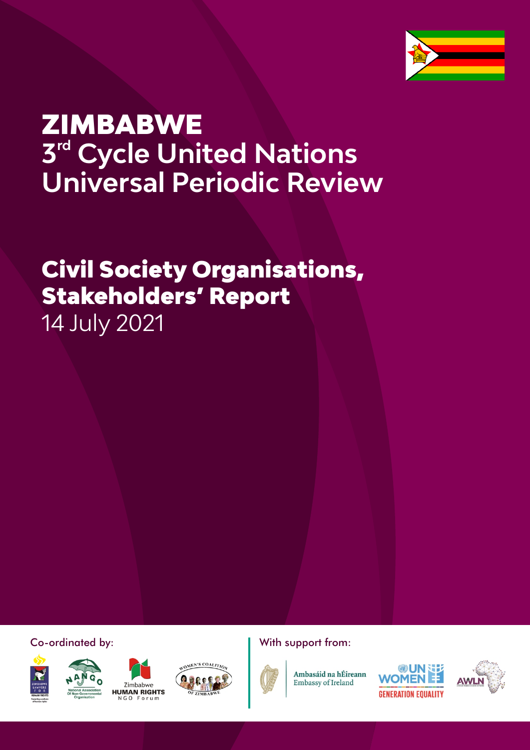

# **ZIMBABWE 3<sup>rd</sup> Cycle United Nations Universal Periodic Review**

## Civil Society Organisations, Stakeholders' Report 14 July 2021

Co-ordinated by: Notify and Millet With support from:









1



Ambasáid na hÉireann Embassy of Ireland



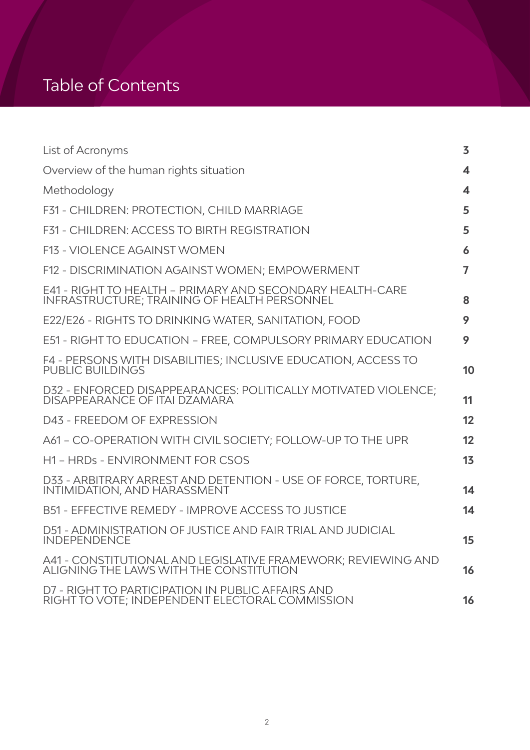### Table of Contents

| List of Acronyms                                                                                                 | 3  |
|------------------------------------------------------------------------------------------------------------------|----|
| Overview of the human rights situation                                                                           | 4  |
| Methodology                                                                                                      | 4  |
| F31 - CHILDREN: PROTECTION, CHILD MARRIAGE                                                                       | 5  |
| <b>F31 - CHILDREN: ACCESS TO BIRTH REGISTRATION</b>                                                              | 5  |
| <b>F13 - VIOLENCE AGAINST WOMEN</b>                                                                              | 6  |
| F12 - DISCRIMINATION AGAINST WOMEN; EMPOWERMENT                                                                  | 7  |
| E41 - RIGHT TO HEALTH – PRIMARY AND SECONDARY HEALTH-CARE<br><b>INFRASTRUCTURE; TRAINING OF HEALTH PERSONNEL</b> | 8  |
| E22/E26 - RIGHTS TO DRINKING WATER, SANITATION, FOOD                                                             | 9  |
| E51 - RIGHT TO EDUCATION - FREE, COMPULSORY PRIMARY EDUCATION                                                    | 9. |
| F4 - PERSONS WITH DISABILITIES; INCLUSIVE EDUCATION, ACCESS TO<br><b>PUBLIC BUILDINGS</b>                        | 10 |
| D32 - ENFORCED DISAPPEARANCES: POLITICALLY MOTIVATED VIOLENCE;<br>DISAPPEARANCE OF ITAI DZAMARA                  | 11 |
| D43 - FREEDOM OF EXPRESSION                                                                                      | 12 |
| A61 - CO-OPERATION WITH CIVIL SOCIETY; FOLLOW-UP TO THE UPR                                                      | 12 |
| H1 - HRDs - ENVIRONMENT FOR CSOS                                                                                 | 13 |
| D33 - ARBITRARY ARREST AND DETENTION - USE OF FORCE, TORTURE,<br>INTIMIDATION, AND HARASSMENT                    | 14 |
| <b>B51 - EFFECTIVE REMEDY - IMPROVE ACCESS TO JUSTICE</b>                                                        | 14 |
| D51 - ADMINISTRATION OF JUSTICE AND FAIR TRIAL AND JUDICIAL<br><b>INDEPENDENCE</b>                               | 15 |
| A41 - CONSTITUTIONAL AND LEGISLATIVE FRAMEWORK; REVIEWING AND<br>ALIGNING THE LAWS WITH THE CONSTITUTION         | 16 |
| D7 - RIGHT TO PARTICIPATION IN PUBLIC AFFAIRS AND<br>RIGHT TO VOTE; INDEPENDENT ELECTORAL COMMISSION             | 16 |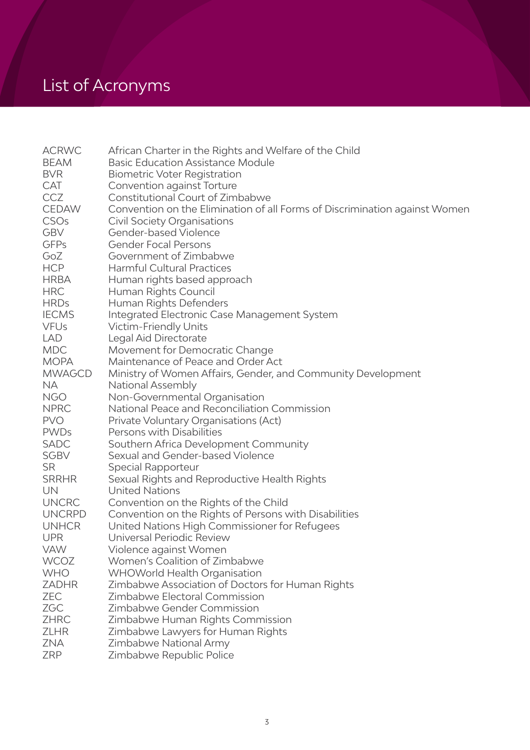## List of Acronyms

| <b>ACRWC</b>     | African Charter in the Rights and Welfare of the Child                     |
|------------------|----------------------------------------------------------------------------|
| <b>BEAM</b>      | <b>Basic Education Assistance Module</b>                                   |
| <b>BVR</b>       | <b>Biometric Voter Registration</b>                                        |
| CAT              | Convention against Torture                                                 |
| <b>CCZ</b>       | Constitutional Court of Zimbabwe                                           |
| <b>CEDAW</b>     | Convention on the Elimination of all Forms of Discrimination against Women |
| CSO <sub>s</sub> | <b>Civil Society Organisations</b>                                         |
| <b>GBV</b>       | Gender-based Violence                                                      |
| <b>GFPs</b>      | <b>Gender Focal Persons</b>                                                |
| GoZ              | Government of Zimbabwe                                                     |
| <b>HCP</b>       | <b>Harmful Cultural Practices</b>                                          |
| <b>HRBA</b>      | Human rights based approach                                                |
| <b>HRC</b>       | Human Rights Council                                                       |
| <b>HRDs</b>      | Human Rights Defenders                                                     |
| <b>IECMS</b>     | Integrated Electronic Case Management System                               |
| <b>VFUs</b>      | Victim-Friendly Units                                                      |
| LAD              | Legal Aid Directorate                                                      |
| <b>MDC</b>       | Movement for Democratic Change                                             |
| <b>MOPA</b>      | Maintenance of Peace and Order Act                                         |
| <b>MWAGCD</b>    | Ministry of Women Affairs, Gender, and Community Development               |
| <b>NA</b>        | <b>National Assembly</b>                                                   |
| <b>NGO</b>       | Non-Governmental Organisation                                              |
| <b>NPRC</b>      | National Peace and Reconciliation Commission                               |
| <b>PVO</b>       | Private Voluntary Organisations (Act)                                      |
| <b>PWDs</b>      | Persons with Disabilities                                                  |
| <b>SADC</b>      | Southern Africa Development Community                                      |
| <b>SGBV</b>      | Sexual and Gender-based Violence                                           |
| <b>SR</b>        | Special Rapporteur                                                         |
| <b>SRRHR</b>     | Sexual Rights and Reproductive Health Rights                               |
| UN               | <b>United Nations</b>                                                      |
| <b>UNCRC</b>     | Convention on the Rights of the Child                                      |
| <b>UNCRPD</b>    | Convention on the Rights of Persons with Disabilities                      |
| <b>UNHCR</b>     | United Nations High Commissioner for Refugees                              |
| <b>UPR</b>       | Universal Periodic Review                                                  |
| <b>VAW</b>       | Violence against Women                                                     |
| <b>WCOZ</b>      | Women's Coalition of Zimbabwe                                              |
| <b>WHO</b>       | <b>WHOWorld Health Organisation</b>                                        |
| <b>ZADHR</b>     | Zimbabwe Association of Doctors for Human Rights                           |
| <b>ZEC</b>       | Zimbabwe Electoral Commission                                              |
| <b>ZGC</b>       | Zimbabwe Gender Commission                                                 |
| <b>ZHRC</b>      | Zimbabwe Human Rights Commission                                           |
| <b>ZLHR</b>      | Zimbabwe Lawyers for Human Rights                                          |
| ZNA              | Zimbabwe National Army                                                     |
| <b>ZRP</b>       | Zimbabwe Republic Police                                                   |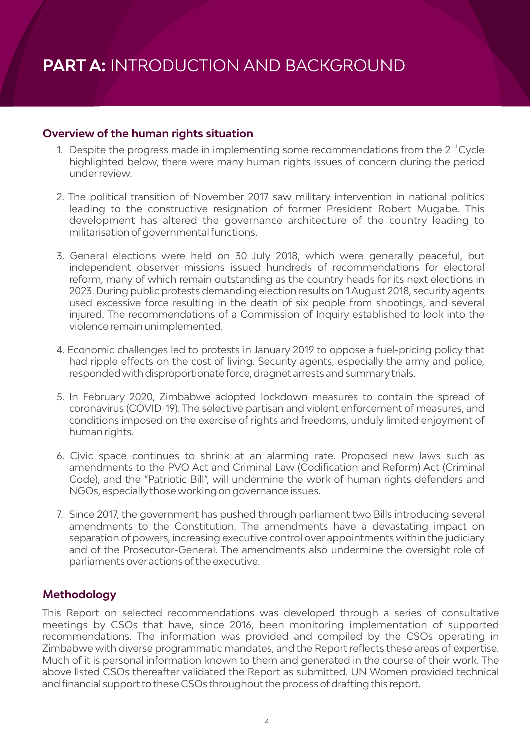#### **Overview of the human rights situation**

- 1. Despite the progress made in implementing some recommendations from the  $2<sup>nd</sup>$  Cycle highlighted below, there were many human rights issues of concern during the period underreview.
- 2. The political transition of November 2017 saw military intervention in national politics leading to the constructive resignation of former President Robert Mugabe. This development has altered the governance architecture of the country leading to militarisation of governmental functions.
- 3. General elections were held on 30 July 2018, which were generally peaceful, but independent observer missions issued hundreds of recommendations for electoral reform, many of which remain outstanding as the country heads for its next elections in 2023. During public protests demanding election results on 1 August 2018, security agents used excessive force resulting in the death of six people from shootings, and several injured. The recommendations of a Commission of Inquiry established to look into the violence remain unimplemented.
- 4. Economic challenges led to protests in January 2019 to oppose a fuel-pricing policy that had ripple effects on the cost of living. Security agents, especially the army and police, responded with disproportionate force, dragnet arrests and summarytrials.
- 5. In February 2020, Zimbabwe adopted lockdown measures to contain the spread of coronavirus (COVID-19). The selective partisan and violent enforcement of measures, and conditions imposed on the exercise of rights and freedoms, unduly limited enjoyment of human rights.
- 6. Civic space continues to shrink at an alarming rate. Proposed new laws such as amendments to the PVO Act and Criminal Law (Codification and Reform) Act (Criminal Code), and the "Patriotic Bill", will undermine the work of human rights defenders and NGOs, especiallythose working on governance issues.
- 7. Since 2017, the government has pushed through parliament two Bills introducing several amendments to the Constitution. The amendments have a devastating impact on separation of powers, increasing executive control over appointments within the judiciary and of the Prosecutor-General. The amendments also undermine the oversight role of parliaments overactions ofthe executive.

#### **Methodology**

This Report on selected recommendations was developed through a series of consultative meetings by CSOs that have, since 2016, been monitoring implementation of supported recommendations. The information was provided and compiled by the CSOs operating in Zimbabwe with diverse programmatic mandates, and the Report reflects these areas of expertise. Much of it is personal information known to them and generated in the course of their work. The above listed CSOs thereafter validated the Report as submitted. UN Women provided technical and financial support to these CSOs throughout the process of drafting this report.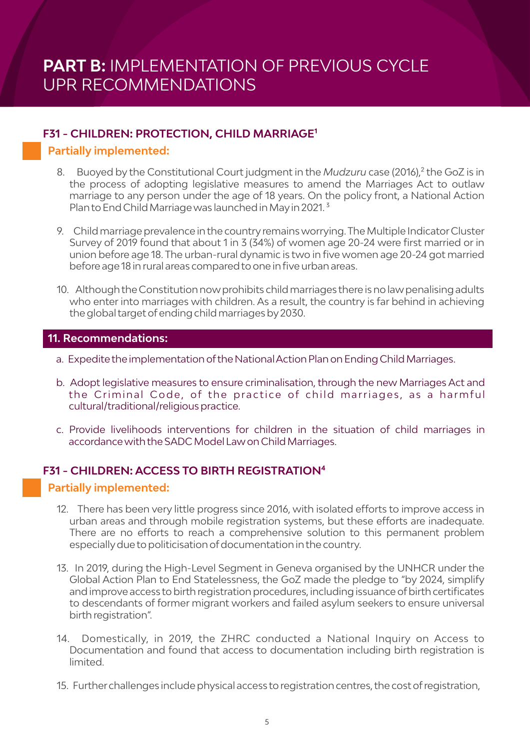#### **F31 - CHILDREN: PROTECTION, CHILD MARRIAGE<sup>1</sup>**

#### **Partially implemented:**

- 8. Buoyed by the Constitutional Court judgment in the *Mudzuru* case (2016),² the GoZ is in the process of adopting legislative measures to amend the Marriages Act to outlaw marriage to any person under the age of 18 years. On the policy front, a National Action Plan to End Child Marriage was launched in May in 2021.<sup>3</sup>
- 9. Child marriage prevalence in the countryremains worrying. The Multiple IndicatorCluster Survey of 2019 found that about 1 in 3 (34%) of women age 20-24 were first married or in union before age 18. The urban-rural dynamic is two in five women age 20-24 got married before age 18 in rural areas compared to one in five urban areas.
- 10. Although the Constitution now prohibits child marriages there is no law penalising adults who enter into marriages with children. As a result, the country is far behind in achieving the global target ofending child marriages by2030.

#### **11.Recommendations:**

- a. Expedite the implementation ofthe National Action Plan on Ending Child Marriages.
- b. Adopt legislative measures to ensure criminalisation, through the new Marriages Act and the Criminal Code, of the practice of child marriages, as a harmful cultural/traditional/religious practice.
- c. Provide livelihoods interventions for children in the situation of child marriages in accordance with the SADC Model Lawon Child Marriages.

#### **F31 - CHILDREN: ACCESS TO BIRTH REGISTRATION<sup>4</sup>**

- 12. There has been very little progress since 2016, with isolated efforts to improve access in urban areas and through mobile registration systems, but these efforts are inadequate. There are no efforts to reach a comprehensive solution to this permanent problem especially due to politicisation of documentation in the country.
- 13. In 2019, during the High-Level Segment in Geneva organised by the UNHCR under the Global Action Plan to End Statelessness, the GoZ made the pledge to "by 2024, simplify and improve access to birth registration procedures, including issuance of birth certificates to descendants of former migrant workers and failed asylum seekers to ensure universal birth registration".
- 14. Domestically, in 2019, the ZHRC conducted a National Inquiry on Access to Documentation and found that access to documentation including birth registration is limited.
- 15. Furtherchallenges include physical access to registration centres, the cost ofregistration,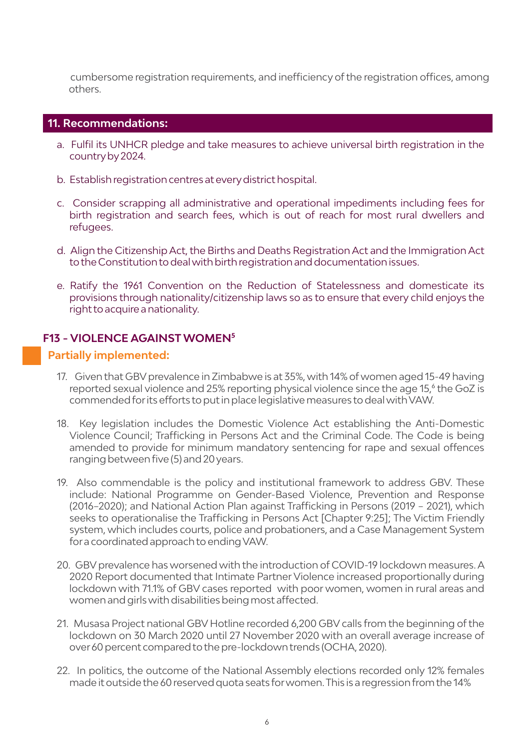cumbersome registration requirements, and inefficiency of the registration offices, among others.

#### **11.Recommendations:**

- a. Fulfil its UNHCR pledge and take measures to achieve universal birth registration in the countryby2024.
- b. Establish registration centres at every district hospital.
- c. Consider scrapping all administrative and operational impediments including fees for birth registration and search fees, which is out of reach for most rural dwellers and refugees.
- d. Align the Citizenship Act, the Births and Deaths Registration Act and the Immigration Act to the Constitution to deal with birth registration and documentation issues.
- e. Ratify the 1961 Convention on the Reduction of Statelessness and domesticate its provisions through nationality/citizenship laws so as to ensure that every child enjoys the right to acquire a nationality.

#### **F13 - VIOLENCE AGAINST WOMEN<sup>5</sup>**

- 17. Given that GBV prevalence in Zimbabwe is at 35%, with 14% of women aged 15-49 having reported sexual violence and 25% reporting physical violence since the age 15,<sup>6</sup> the GoZ is commended forits efforts to put in place legislative measures to deal with VAW.
- 18. Key legislation includes the Domestic Violence Act establishing the Anti-Domestic Violence Council; Trafficking in Persons Act and the Criminal Code. The Code is being amended to provide for minimum mandatory sentencing for rape and sexual offences ranging between five (5) and 20 years.
- 19. Also commendable is the policy and institutional framework to address GBV. These include: National Programme on Gender-Based Violence, Prevention and Response (2016–2020); and National Action Plan against Trafficking in Persons (2019 – 2021), which seeks to operationalise the Trafficking in Persons Act [Chapter 9:25]; The Victim Friendly system, which includes courts, police and probationers, and a Case Management System fora coordinated approach to ending VAW.
- 20. GBV prevalence has worsened with the introduction of COVID-19 lockdown measures. A 2020 Report documented that Intimate Partner Violence increased proportionally during lockdown with 71.1% of GBV cases reported with poor women, women in rural areas and women and girls with disabilities being most affected.
- 21. Musasa Project national GBV Hotline recorded 6,200 GBV calls from the beginning ofthe lockdown on 30 March 2020 until 27 November 2020 with an overall average increase of over 60 percent compared to the pre-lockdown trends (OCHA, 2020).
- 22. In politics, the outcome of the National Assembly elections recorded only 12% females made it outside the 60 reserved quota seats forwomen. This is a regression from the 14%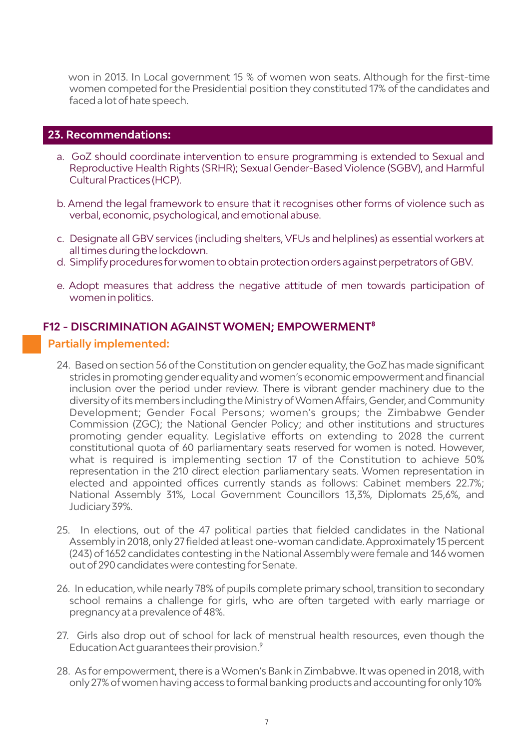won in 2013. In Local government 15 % of women won seats. Although for the first-time women competed for the Presidential position they constituted 17% of the candidates and faced a lot of hate speech.

#### **23.Recommendations:**

- a. GoZ should coordinate intervention to ensure programming is extended to Sexual and Reproductive Health Rights (SRHR); Sexual Gender-Based Violence (SGBV), and Harmful Cultural Practices (HCP).
- b. Amend the legal framework to ensure that it recognises other forms of violence such as verbal, economic, psychological, and emotional abuse.
- c. Designate all GBV services (including shelters, VFUs and helplines) as essential workers at all times during the lockdown.
- d. Simplifyprocedures forwomen to obtain protection orders against perpetrators ofGBV.
- e. Adopt measures that address the negative attitude of men towards participation of women in politics.

#### **F12 - DISCRIMINATION AGAINST WOMEN; EMPOWERMENT⁸**

- 24. Based on section 56 ofthe Constitution on gender equality, the GoZ has made significant strides in promoting genderequalityand women's economic empowerment and financial inclusion over the period under review. There is vibrant gender machinery due to the diversityofits members including the MinistryofWomen Affairs, Gender, and Community Development; Gender Focal Persons; women's groups; the Zimbabwe Gender Commission (ZGC); the National Gender Policy; and other institutions and structures promoting gender equality. Legislative efforts on extending to 2028 the current constitutional quota of 60 parliamentary seats reserved for women is noted. However, what is required is implementing section 17 of the Constitution to achieve 50% representation in the 210 direct election parliamentary seats. Women representation in elected and appointed offices currently stands as follows: Cabinet members 22.7%; National Assembly 31%, Local Government Councillors 13,3%, Diplomats 25,6%, and Judiciary39%.
- 25. In elections, out of the 47 political parties that fielded candidates in the National Assemblyin 2018, only27 fielded at least one-woman candidate. Approximately15 percent (243) of 1652 candidates contesting in the National Assemblywere female and 146 women out of 290 candidates were contesting for Senate.
- 26. In education, while nearly 78% of pupils complete primary school, transition to secondary school remains a challenge for girls, who are often targeted with early marriage or pregnancyat a prevalence of48%.
- 27. Girls also drop out of school for lack of menstrual health resources, even though the Education Act guarantees their provision.<sup>9</sup>
- 28. As for empowerment, there is a Women's Bank in Zimbabwe. It was opened in 2018, with only27% ofwomen having access to formal banking products and accounting foronly10%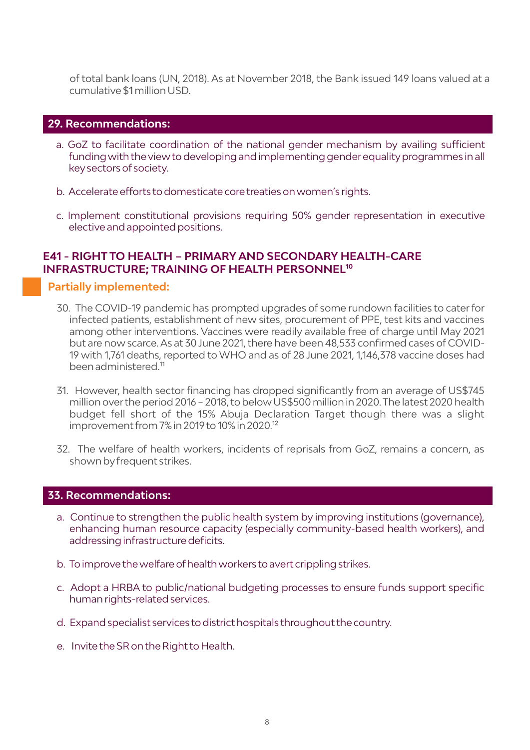of total bank loans (UN, 2018). As at November 2018, the Bank issued 149 loans valued at a cumulative \$1 million USD.

#### **29.Recommendations:**

- a. GoZ to facilitate coordination of the national gender mechanism by availing sufficient funding with the view to developing and implementing gender equality programmes in all keysectors of society.
- b. Accelerate efforts to domesticate core treaties on women's rights.
- c. Implement constitutional provisions requiring 50% gender representation in executive elective and appointed positions.

#### **E41 - RIGHT TO HEALTH – PRIMARY AND SECONDARY HEALTH-CARE INFRASTRUCTURE: TRAINING OF HEALTH PERSONNEL<sup>10</sup>**

#### **Partially implemented:**

- 30. The COVID-19 pandemic has prompted upgrades of some rundown facilities to caterfor infected patients, establishment of new sites, procurement of PPE, test kits and vaccines among other interventions. Vaccines were readily available free of charge until May 2021 but are now scarce. As at 30 June 2021, there have been 48,533 confirmed cases of COVID-19 with 1,761 deaths, reported to WHO and as of 28 June 2021, 1,146,378 vaccine doses had been administered.<sup>11</sup>
- 31. However, health sector financing has dropped significantly from an average of US\$745 million overthe period 2016 – 2018, to below US\$500 million in 2020. The latest 2020 health budget fell short of the 15% Abuja Declaration Target though there was a slight improvement from 7% in 2019 to 10% in 2020.<sup>12</sup>
- 32. The welfare of health workers, incidents of reprisals from GoZ, remains a concern, as shown byfrequent strikes.

#### **33.Recommendations:**

- a. Continue to strengthen the public health system by improving institutions (governance), enhancing human resource capacity (especially community-based health workers), and addressing infrastructure deficits.
- b. To improve the welfare of health workers to avert crippling strikes.
- c. Adopt a HRBA to public/national budgeting processes to ensure funds support specific human rights-related services.
- d. Expand specialist services to district hospitals throughout the country.
- e. Invite the SR on the Right to Health.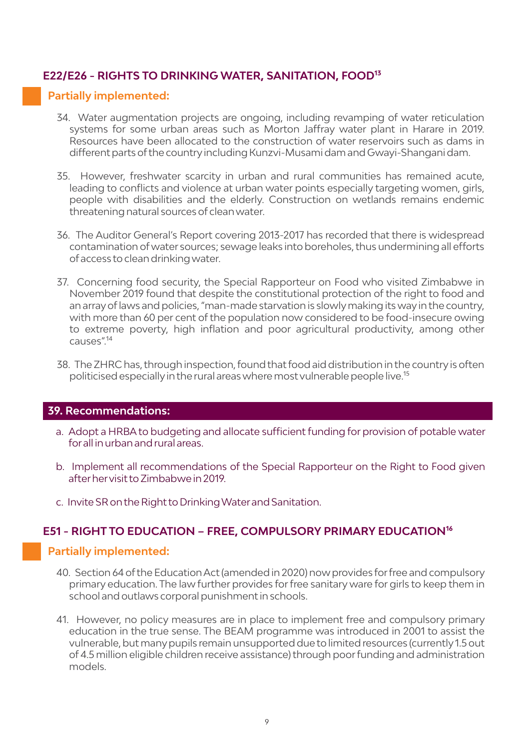#### **E22/E26 - RIGHTS TO DRINKING WATER, SANITATION, FOOD<sup>13</sup>**

#### **Partially implemented:**

- 34. Water augmentation projects are ongoing, including revamping of water reticulation systems for some urban areas such as Morton Jaffray water plant in Harare in 2019. Resources have been allocated to the construction of water reservoirs such as dams in different parts ofthe countryincluding Kunzvi-Musami dam and Gwayi-Shangani dam.
- 35. However, freshwater scarcity in urban and rural communities has remained acute, leading to conflicts and violence at urban water points especially targeting women, girls, people with disabilities and the elderly. Construction on wetlands remains endemic threatening natural sources of clean water.
- 36. The Auditor General's Report covering 2013-2017 has recorded that there is widespread contamination ofwater sources; sewage leaks into boreholes, thus undermining all efforts of access to clean drinking water.
- 37. Concerning food security, the Special Rapporteur on Food who visited Zimbabwe in November 2019 found that despite the constitutional protection of the right to food and an arrayoflaws and policies, "man-made starvation is slowlymaking its way in the country, with more than 60 per cent of the population now considered to be food-insecure owing to extreme poverty, high inflation and poor agricultural productivity, among other causes".<sup>14</sup>
- 38. The ZHRC has, through inspection, found that food aid distribution in the country is often politicised especially in the rural areas where most vulnerable people live.<sup>15</sup>

#### **39.Recommendations:**

- a. Adopt a HRBA to budgeting and allocate sufficient funding for provision of potable water forall in urban and rural areas.
- b. Implement all recommendations of the Special Rapporteur on the Right to Food given afterhervisit to Zimbabwe in 2019.
- c. Invite SR on the Right to Drinking Waterand Sanitation.

#### **E51 - RIGHT TO EDUCATION – FREE, COMPULSORY PRIMARY EDUCATION<sup>16</sup>**

- 40. Section 64 ofthe Education Act (amended in 2020) nowprovides forfree and compulsory primary education. The law further provides forfree sanitary ware for girls to keep them in school and outlaws corporal punishment in schools.
- 41. However, no policy measures are in place to implement free and compulsory primary education in the true sense. The BEAM programme was introduced in 2001 to assist the vulnerable, but manypupils remain unsupported due to limited resources (currently 1.5 out of 4.5 million eligible children receive assistance) through poorfunding and administration models.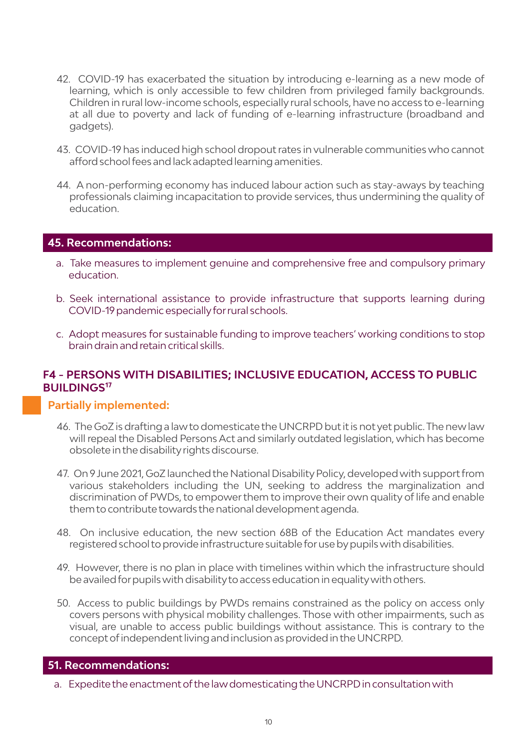- 42. COVID-19 has exacerbated the situation by introducing e-learning as a new mode of learning, which is only accessible to few children from privileged family backgrounds. Children in rural low-income schools, especially rural schools, have no access to e-learning at all due to poverty and lack of funding of e-learning infrastructure (broadband and gadgets).
- 43. COVID-19 has induced high school dropout rates in vulnerable communities who cannot afford school fees and lack adapted learning amenities.
- 44. A non-performing economy has induced labour action such as stay-aways by teaching professionals claiming incapacitation to provide services, thus undermining the quality of education.

#### **45.Recommendations:**

- a. Take measures to implement genuine and comprehensive free and compulsory primary education.
- b. Seek international assistance to provide infrastructure that supports learning during COVID-19 pandemic especiallyforrural schools.
- c. Adopt measures for sustainable funding to improve teachers' working conditions to stop brain drain and retain critical skills.

#### **F4 - PERSONS WITH DISABILITIES; INCLUSIVE EDUCATION, ACCESS TO PUBLIC BUILDINGS<sup>17</sup>**

#### **Partially implemented:**

- 46. The GoZ is drafting a lawto domesticate the UNCRPD but it is not yet public. The newlaw will repeal the Disabled Persons Act and similarly outdated legislation, which has become obsolete in the disabilityrights discourse.
- 47. On 9 June 2021, GoZ launched the National Disability Policy, developed with support from various stakeholders including the UN, seeking to address the marginalization and discrimination of PWDs, to empowerthem to improve their own quality of life and enable them to contribute towards the national development agenda.
- 48. On inclusive education, the new section 68B of the Education Act mandates every registered school to provide infrastructure suitable foruse bypupils with disabilities.
- 49. However, there is no plan in place with timelines within which the infrastructure should be availed forpupils with disabilityto access education in equalitywith others.
- 50. Access to public buildings by PWDs remains constrained as the policy on access only covers persons with physical mobility challenges. Those with other impairments, such as visual, are unable to access public buildings without assistance. This is contrary to the concept ofindependent living and inclusion as provided in the UNCRPD.

#### **51.Recommendations:**

a. Expedite the enactment of the law domesticating the UNCRPD in consultation with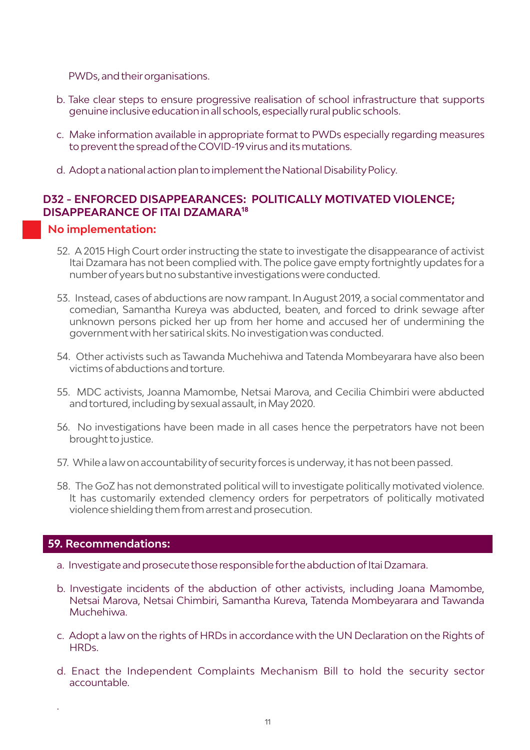PWDs, and their organisations.

- b. Take clear steps to ensure progressive realisation of school infrastructure that supports genuine inclusive education in all schools, especiallyrural public schools.
- c. Make information available in appropriate format to PWDs especially regarding measures to prevent the spread ofthe COVID-19 virus and its mutations.
- d. Adopt a national action plan to implement the National Disability Policy.

#### **D32 - ENFORCED DISAPPEARANCES: POLITICALLY MOTIVATED VIOLENCE; DISAPPEARANCE OF ITAI DZAMARA<sup>18</sup>**

#### **No implementation:**

- 52. A 2015 High Court orderinstructing the state to investigate the disappearance of activist Itai Dzamara has not been complied with. The police gave empty fortnightly updates for a numberofyears but no substantive investigations were conducted.
- 53. Instead, cases of abductions are now rampant. In August 2019, a social commentator and comedian, Samantha Kureya was abducted, beaten, and forced to drink sewage after unknown persons picked her up from her home and accused her of undermining the government with her satirical skits. No investigation was conducted.
- 54. Other activists such as Tawanda Muchehiwa and Tatenda Mombeyarara have also been victims of abductions and torture.
- 55. MDC activists, Joanna Mamombe, Netsai Marova, and Cecilia Chimbiri were abducted and tortured, including bysexual assault, in May2020.
- 56. No investigations have been made in all cases hence the perpetrators have not been brought to justice.
- 57. While a lawon accountabilityof securityforces is underway, it has not been passed.
- 58. The GoZ has not demonstrated political will to investigate politically motivated violence. It has customarily extended clemency orders for perpetrators of politically motivated violence shielding them from arrest and prosecution.

#### **59.Recommendations:**

.

- a. Investigate and prosecute those responsible for the abduction of Itai Dzamara.
- b. Investigate incidents of the abduction of other activists, including Joana Mamombe, Netsai Marova, Netsai Chimbiri, Samantha Kureva, Tatenda Mombeyarara and Tawanda Muchehiwa.
- c. Adopt a law on the rights of HRDs in accordance with the UN Declaration on the Rights of HRDs.
- d. Enact the Independent Complaints Mechanism Bill to hold the security sector accountable.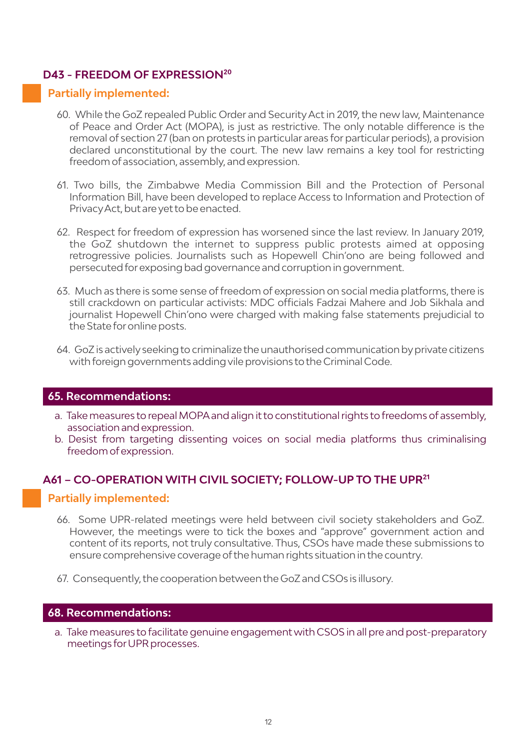#### D43 - FREEDOM OF EXPRESSION<sup>20</sup>

#### **Partially implemented:**

- 60. While the GoZ repealed Public Order and Security Act in 2019, the new law, Maintenance of Peace and Order Act (MOPA), is just as restrictive. The only notable difference is the removal of section 27 (ban on protests in particular areas for particular periods), a provision declared unconstitutional by the court. The new law remains a key tool for restricting freedom of association, assembly, and expression.
- 61. Two bills, the Zimbabwe Media Commission Bill and the Protection of Personal Information Bill, have been developed to replace Access to Information and Protection of PrivacyAct, but are yet to be enacted.
- 62. Respect for freedom of expression has worsened since the last review. In January 2019, the GoZ shutdown the internet to suppress public protests aimed at opposing retrogressive policies. Journalists such as Hopewell Chin'ono are being followed and persecuted forexposing bad governance and corruption in government.
- 63. Much as there is some sense offreedom of expression on social media platforms, there is still crackdown on particular activists: MDC officials Fadzai Mahere and Job Sikhala and journalist Hopewell Chin'ono were charged with making false statements prejudicial to the State foronline posts.
- 64. GoZ is activelyseeking to criminalize the unauthorised communication byprivate citizens with foreign governments adding vile provisions to the Criminal Code.

#### **65.Recommendations:**

- a. Take measures to repeal MOPAand align it to constitutional rights to freedoms of assembly, association and expression.
- b. Desist from targeting dissenting voices on social media platforms thus criminalising freedom of expression.

#### **A61 – CO-OPERATION WITH CIVIL SOCIETY; FOLLOW-UP TO THE UPR<sup>21</sup>**

#### **Partially implemented:**

- 66. Some UPR-related meetings were held between civil society stakeholders and GoZ. However, the meetings were to tick the boxes and "approve" government action and content of its reports, not truly consultative. Thus, CSOs have made these submissions to ensure comprehensive coverage ofthe human rights situation in the country.
- 67. Consequently, the cooperation between the GoZ and CSOs is illusory.

#### **68.Recommendations:**

a. Take measures to facilitate genuine engagement with CSOS in all pre and post-preparatory meetings forUPR processes.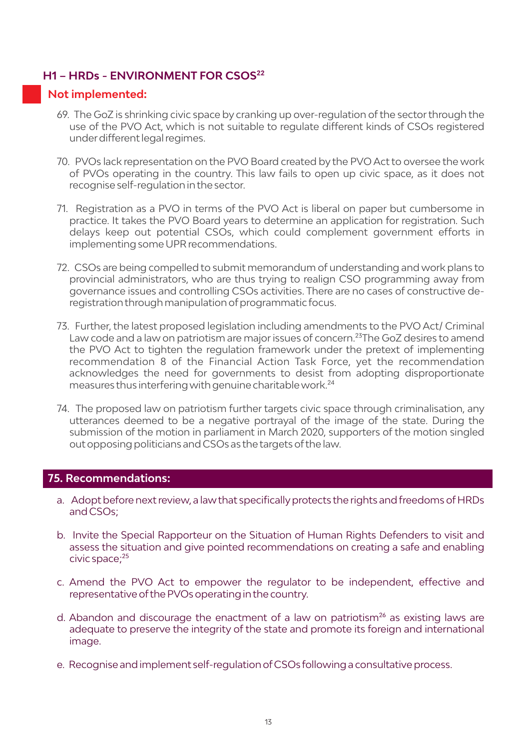#### **H1 – HRDs - ENVIRONMENT FOR CSOS²²**

#### **Not implemented:**

- 69. The GoZ is shrinking civic space by cranking up over-regulation ofthe sectorthrough the use of the PVO Act, which is not suitable to regulate different kinds of CSOs registered underdifferent legal regimes.
- 70. PVOs lack representation on the PVO Board created by the PVO Act to oversee the work of PVOs operating in the country. This law fails to open up civic space, as it does not recognise self-regulation in the sector.
- 71. Registration as a PVO in terms of the PVO Act is liberal on paper but cumbersome in practice. It takes the PVO Board years to determine an application for registration. Such delays keep out potential CSOs, which could complement government efforts in implementing some UPR recommendations.
- 72. CSOs are being compelled to submit memorandum of understanding and work plans to provincial administrators, who are thus trying to realign CSO programming away from governance issues and controlling CSOs activities. There are no cases of constructive deregistration through manipulation of programmatic focus.
- 73. Further, the latest proposed legislation including amendments to the PVO Act/ Criminal Law code and a law on patriotism are major issues of concern.<sup>23</sup>The GoZ desires to amend the PVO Act to tighten the regulation framework under the pretext of implementing recommendation 8 of the Financial Action Task Force, yet the recommendation acknowledges the need for governments to desist from adopting disproportionate measures thus interfering with genuine charitable work.<sup>24</sup>
- 74. The proposed law on patriotism further targets civic space through criminalisation, any utterances deemed to be a negative portrayal of the image of the state. During the submission of the motion in parliament in March 2020, supporters of the motion singled out opposing politicians and CSOs as the targets ofthe law.

#### **75.Recommendations:**

- a. Adopt before next review, a law that specifically protects the rights and freedoms of HRDs and CSOs;
- b. Invite the Special Rapporteur on the Situation of Human Rights Defenders to visit and assess the situation and give pointed recommendations on creating a safe and enabling civic space;<sup>25</sup>
- c. Amend the PVO Act to empower the regulator to be independent, effective and representative ofthe PVOs operating in the country.
- d. Abandon and discourage the enactment of a law on patriotism<sup>26</sup> as existing laws are adequate to preserve the integrity of the state and promote its foreign and international image.
- e. Recognise and implement self-regulation ofCSOs following a consultative process.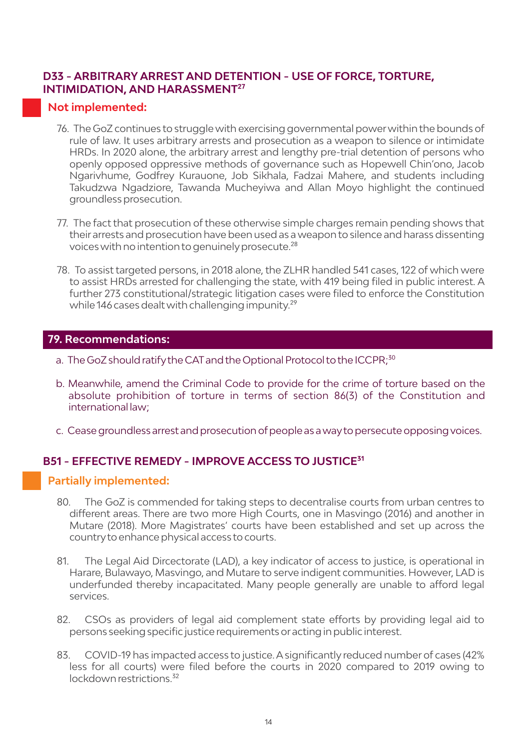#### **D33 - ARBITRARY ARREST AND DETENTION - USE OF FORCE, TORTURE, INTIMIDATION, AND HARASSMENT<sup>27</sup>**

#### **Not implemented:**

- 76. The GoZ continues to struggle with exercising governmental powerwithin the bounds of rule of law. It uses arbitrary arrests and prosecution as a weapon to silence or intimidate HRDs. In 2020 alone, the arbitrary arrest and lengthy pre-trial detention of persons who openly opposed oppressive methods of governance such as Hopewell Chin'ono, Jacob Ngarivhume, Godfrey Kurauone, Job Sikhala, Fadzai Mahere, and students including Takudzwa Ngadziore, Tawanda Mucheyiwa and Allan Moyo highlight the continued groundless prosecution.
- 77. The fact that prosecution of these otherwise simple charges remain pending shows that their arrests and prosecution have been used as a weapon to silence and harass dissenting voices with no intention to genuinely prosecute.<sup>28</sup>
- 78. To assist targeted persons, in 2018 alone, the ZLHR handled 541 cases, 122 of which were to assist HRDs arrested for challenging the state, with 419 being filed in public interest. A further 273 constitutional/strategic litigation cases were filed to enforce the Constitution while 146 cases dealt with challenging impunity.<sup>29</sup>

#### **79.Recommendations:**

- a. The GoZ should ratify the CAT and the Optional Protocol to the ICCPR;<sup>30</sup>
- b. Meanwhile, amend the Criminal Code to provide for the crime of torture based on the absolute prohibition of torture in terms of section 86(3) of the Constitution and international law;
- c. Cease groundless arrest and prosecution of people as a way to persecute opposing voices.

#### **B51 - EFFECTIVE REMEDY - IMPROVE ACCESS TO JUSTICE<sup>31</sup>**

- 80. The GoZ is commended for taking steps to decentralise courts from urban centres to different areas. There are two more High Courts, one in Masvingo (2016) and another in Mutare (2018). More Magistrates' courts have been established and set up across the countryto enhance physical access to courts.
- 81. The Legal Aid Dircectorate (LAD), a key indicator of access to justice, is operational in Harare, Bulawayo, Masvingo, and Mutare to serve indigent communities. However, LAD is underfunded thereby incapacitated. Many people generally are unable to afford legal services.
- 82. CSOs as providers of legal aid complement state efforts by providing legal aid to persons seeking specific justice requirements oracting in public interest.
- 83. COVID-19 has impacted access to justice. A significantly reduced number of cases (42% less for all courts) were filed before the courts in 2020 compared to 2019 owing to lockdown restrictions<sup>32</sup>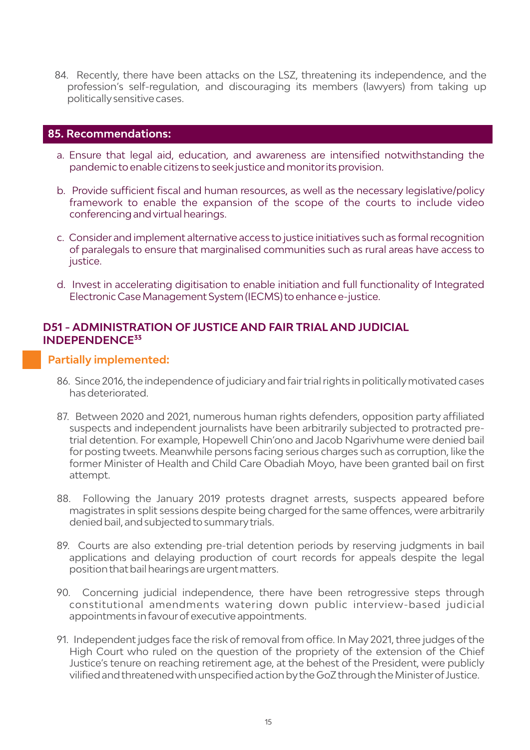84. Recently, there have been attacks on the LSZ, threatening its independence, and the profession's self-regulation, and discouraging its members (lawyers) from taking up politicallysensitive cases.

#### **85.Recommendations:**

- a. Ensure that legal aid, education, and awareness are intensified notwithstanding the pandemic to enable citizens to seek justice and monitorits provision.
- b. Provide sufficient fiscal and human resources, as well as the necessary legislative/policy framework to enable the expansion of the scope of the courts to include video conferencing and virtual hearings.
- c. Consider and implement alternative access to justice initiatives such as formal recognition of paralegals to ensure that marginalised communities such as rural areas have access to justice.
- d. Invest in accelerating digitisation to enable initiation and full functionality of Integrated Electronic Case Management System (IECMS) to enhance e-justice.

#### **D51 - ADMINISTRATION OF JUSTICE AND FAIR TRIAL AND JUDICIAL INDEPENDENCE³³**

- 86. Since 2016, the independence of judiciary and fair trial rights in politically motivated cases has deteriorated.
- 87. Between 2020 and 2021, numerous human rights defenders, opposition party affiliated suspects and independent journalists have been arbitrarily subjected to protracted pretrial detention. For example, Hopewell Chin'ono and Jacob Ngarivhume were denied bail for posting tweets. Meanwhile persons facing serious charges such as corruption, like the former Minister of Health and Child Care Obadiah Moyo, have been granted bail on first attempt.
- 88. Following the January 2019 protests dragnet arrests, suspects appeared before magistrates in split sessions despite being charged forthe same offences, were arbitrarily denied bail, and subjected to summarytrials.
- 89. Courts are also extending pre-trial detention periods by reserving judgments in bail applications and delaying production of court records for appeals despite the legal position that bail hearings are urgent matters.
- 90. Concerning judicial independence, there have been retrogressive steps through constitutional amendments watering down public interview-based judicial appointments in favour of executive appointments.
- 91. Independent judges face the risk of removal from office. In May 2021, three judges of the High Court who ruled on the question of the propriety of the extension of the Chief Justice's tenure on reaching retirement age, at the behest of the President, were publicly vilified and threatened with unspecified action bythe GoZ through the Ministerof Justice.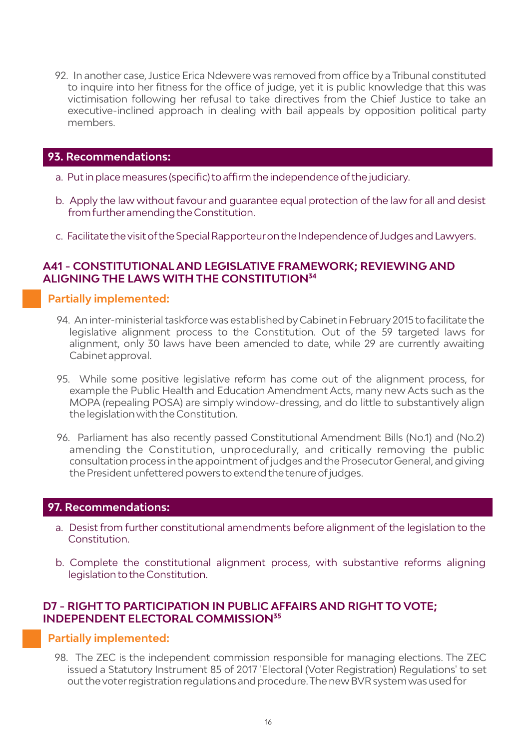92. In another case, Justice Erica Ndewere was removed from office by a Tribunal constituted to inquire into her fitness for the office of judge, yet it is public knowledge that this was victimisation following her refusal to take directives from the Chief Justice to take an executive-inclined approach in dealing with bail appeals by opposition political party members.

#### **93.Recommendations:**

- a. Put in place measures (specific) to affirm the independence ofthe judiciary.
- b. Apply the law without favour and guarantee equal protection of the law for all and desist from furtheramending the Constitution.
- c. Facilitate the visit ofthe Special Rapporteuron the Independence of Judges and Lawyers.

#### **A41 - CONSTITUTIONAL AND LEGISLATIVE FRAMEWORK; REVIEWING AND ALIGNING THE LAWS WITH THE CONSTITUTION<sup>34</sup>**

#### **Partially implemented:**

- 94. An inter-ministerial taskforce was established byCabinet in February 2015 to facilitate the legislative alignment process to the Constitution. Out of the 59 targeted laws for alignment, only 30 laws have been amended to date, while 29 are currently awaiting Cabinet approval.
- 95. While some positive legislative reform has come out of the alignment process, for example the Public Health and Education Amendment Acts, many new Acts such as the MOPA (repealing POSA) are simply window-dressing, and do little to substantively align the legislation with the Constitution.
- 96. Parliament has also recently passed Constitutional Amendment Bills (No.1) and (No.2) amending the Constitution, unprocedurally, and critically removing the public consultation process in the appointment of judges and the Prosecutor General, and giving the President unfettered powers to extend the tenure of judges.

#### **97.Recommendations:**

- a. Desist from further constitutional amendments before alignment of the legislation to the Constitution.
- b. Complete the constitutional alignment process, with substantive reforms aligning legislation to the Constitution.

#### **D7 - RIGHT TO PARTICIPATION IN PUBLIC AFFAIRS AND RIGHT TO VOTE; INDEPENDENT ELECTORAL COMMISSION<sup>35</sup>**

#### **Partially implemented:**

98. The ZEC is the independent commission responsible for managing elections. The ZEC issued a Statutory Instrument 85 of 2017 'Electoral (Voter Registration) Regulations' to set out the voterregistration regulations and procedure. The newBVR system was used for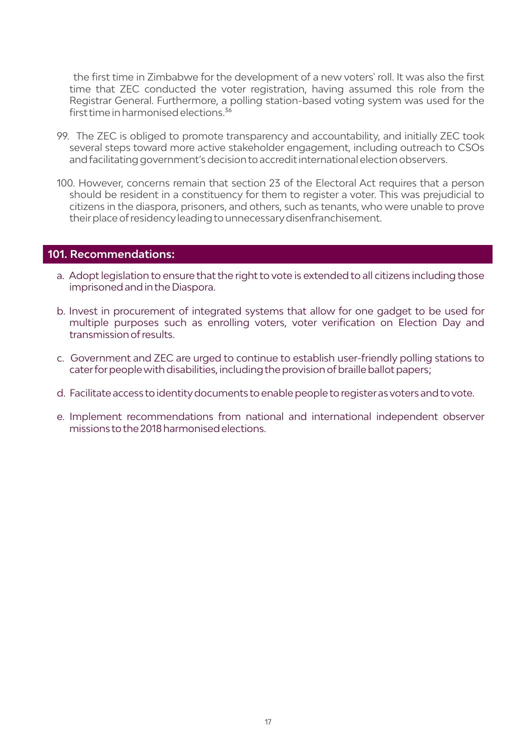the first time in Zimbabwe for the development of a new voters' roll. It was also the first time that ZEC conducted the voter registration, having assumed this role from the Registrar General. Furthermore, a polling station-based voting system was used for the first time in harmonised elections.<sup>36</sup>

- 99. The ZEC is obliged to promote transparency and accountability, and initially ZEC took several steps toward more active stakeholder engagement, including outreach to CSOs and facilitating government's decision to accredit international election observers.
- 100. However, concerns remain that section 23 of the Electoral Act requires that a person should be resident in a constituency for them to register a voter. This was prejudicial to citizens in the diaspora, prisoners, and others, such as tenants, who were unable to prove their place of residency leading to unnecessary disenfranchisement.

#### **101.Recommendations:**

- a. Adopt legislation to ensure that the right to vote is extended to all citizens including those imprisoned and in the Diaspora.
- b. Invest in procurement of integrated systems that allow for one gadget to be used for multiple purposes such as enrolling voters, voter verification on Election Day and transmission ofresults.
- c. Government and ZEC are urged to continue to establish user-friendly polling stations to caterforpeople with disabilities, including the provision ofbraille ballot papers;
- d. Facilitate access to identity documents to enable people to register as voters and to vote.
- e. Implement recommendations from national and international independent observer missions to the 2018 harmonised elections.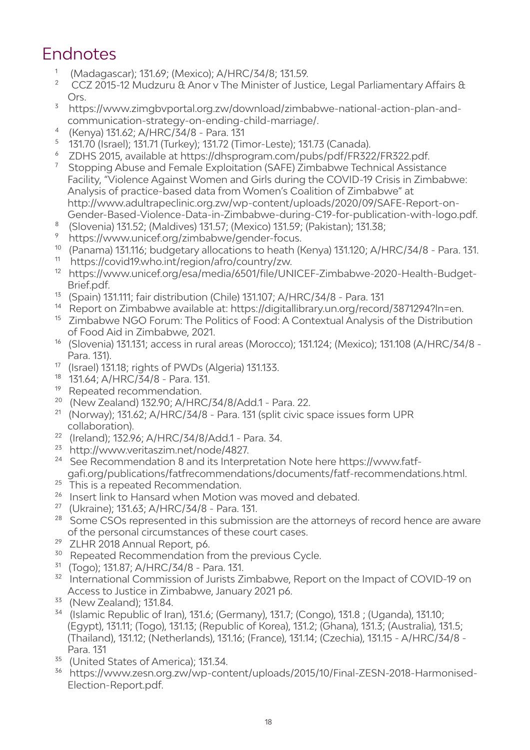### Endnotes

- <sup>1</sup> (Madagascar); 131.69; (Mexico); A/HRC/34/8; 131.59.
- CCZ 2015-12 Mudzuru & Anor v The Minister of Justice, Legal Parliamentary Affairs & Ors.
- <sup>3</sup> https://www.zimgbyportal.org.zw/download/zimbabwe-national-action-plan-andcommunication-strategy-on-ending-child-marriage/.
- ⁴ (Kenya) 131.62; A/HRC/34/8 Para. 131
- $\frac{5}{131.70}$  (Israel); 131.71 (Turkey); 131.72 (Timor-Leste); 131.73 (Canada).
- ⁶ ZDHS 2015, available at https://dhsprogram.com/pubs/pdf/FR322/FR322.pdf.
- ⁷ Stopping Abuse and Female Exploitation (SAFE) Zimbabwe Technical Assistance Facility, "Violence Against Women and Girls during the COVID-19 Crisis in Zimbabwe: Analysis of practice-based data from Women's Coalition of Zimbabwe" at http://www.adultrapeclinic.org.zw/wp-content/uploads/2020/09/SAFE-Report-on-Gender-Based-Violence-Data-in-Zimbabwe-during-C19-for-publication-with-logo.pdf.
- $^8$  (Slovenia) 131.52; (Maldives) 131.57; (Mexico) 131.59; (Pakistan); 131.38;<br>
Subther the subsequentic of any lain babyed and proper focus
- ⁹ https://www.unicef.org/zimbabwe/gender-focus.
- <sup>10</sup> (Panama) 131.116; budgetary allocations to heath (Kenya) 131.120; A/HRC/34/8 Para. 131.<br><sup>11</sup> https://covid19.who.int/rogion/afre/country/zw.
- https://covid19.who.int/region/afro/country/zw.
- <sup>12</sup> https://www.unicef.org/esa/media/6501/file/UNICEF-Zimbabwe-2020-Health-Budget-Brief.pdf.
- <sup>13</sup> (Spain) 131.111; fair distribution (Chile) 131.107; A/HRC/34/8 Para. 131
- <sup>14</sup> Report on Zimbabwe available at: https://digitallibrary.un.org/record/3871294?ln=en.
- <sup>15</sup> Zimbabwe NGO Forum: The Politics of Food: A Contextual Analysis of the Distribution of Food Aid in Zimbabwe, 2021.
- <sup>16</sup> (Slovenia) 131.131; access in rural areas (Morocco); 131.124; (Mexico); 131.108 (A/HRC/34/8 -Para. 131).
- <sup>17</sup> (Israel) 131.18; rights of PWDs (Algeria) 131.133.
- 18 131.64; A/HRC/34/8 Para. 131.
- <sup>19</sup> Repeated recommendation.
- ²⁰ (New Zealand) 132.90; A/HRC/34/8/Add.1 Para. 22.
- $21$  (Norway); 131.62; A/HRC/34/8 Para. 131 (split civic space issues form UPR collaboration).
- ²² (Ireland); 132.96; A/HRC/34/8/Add.1 Para. 34.
- <sup>23</sup> http://www.veritaszim.net/node/4827.
- <sup>24</sup> See Recommendation 8 and its Interpretation Note here https://www.fatfgafi.org/publications/fatfrecommendations/documents/fatf-recommendations.html.
- <sup>25</sup> This is a repeated Recommendation.
- <sup>26</sup> Insert link to Hansard when Motion was moved and debated.
- ²⁷ (Ukraine); 131.63; A/HRC/34/8 Para. 131.
- <sup>28</sup> Some CSOs represented in this submission are the attorneys of record hence are aware of the personal circumstances of these court cases.
- <sup>29</sup> ZLHR 2018 Annual Report, p6.
- <sup>30</sup> Repeated Recommendation from the previous Cycle.
- $31$  (Togo); 131.87; A/HRC/34/8 Para. 131.
- <sup>32</sup> International Commission of Jurists Zimbabwe, Report on the Impact of COVID-19 on Access to Justice in Zimbabwe, January 2021 p6.
- <sup>33</sup> (New Zealand); 131.84.
- <sup>34</sup> (Islamic Republic of Iran), 131.6; (Germany), 131.7; (Congo), 131.8; (Uganda), 131.10; (Egypt), 131.11; (Togo), 131.13; (Republic of Korea), 131.2; (Ghana), 131.3; (Australia), 131.5; (Thailand), 131.12; (Netherlands), 131.16; (France), 131.14; (Czechia), 131.15 - A/HRC/34/8 - Para. 131
- <sup>35</sup> (United States of America); 131.34.
- <sup>36</sup> https://www.zesn.org.zw/wp-content/uploads/2015/10/Final-ZESN-2018-Harmonised-Election-Report.pdf.